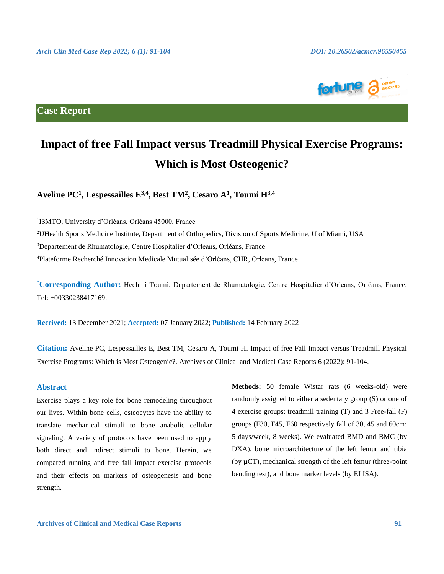

**Case Report**

# **Impact of free Fall Impact versus Treadmill Physical Exercise Programs: Which is Most Osteogenic?**

**Aveline PC<sup>1</sup> , Lespessailles E3,4, Best TM<sup>2</sup> , Cesaro A<sup>1</sup> , Toumi H3,4**

 I3MTO, University d'Orléans, Orléans 45000, France UHealth Sports Medicine Institute, Department of Orthopedics, Division of Sports Medicine, U of Miami, USA Departement de Rhumatologie, Centre Hospitalier d'Orleans, Orléans, France Plateforme Recherché Innovation Medicale Mutualisée d'Orléans, CHR, Orleans, France

**\*Corresponding Author:** Hechmi Toumi. Departement de Rhumatologie, Centre Hospitalier d'Orleans, Orléans, France. Tel: +00330238417169.

**Received:** 13 December 2021; **Accepted:** 07 January 2022; **Published:** 14 February 2022

**Citation:** Aveline PC, Lespessailles E, Best TM, Cesaro A, Toumi H. Impact of free Fall Impact versus Treadmill Physical Exercise Programs: Which is Most Osteogenic?. Archives of Clinical and Medical Case Reports 6 (2022): 91-104.

# **Abstract**

Exercise plays a key role for bone remodeling throughout our lives. Within bone cells, osteocytes have the ability to translate mechanical stimuli to bone anabolic cellular signaling. A variety of protocols have been used to apply both direct and indirect stimuli to bone. Herein, we compared running and free fall impact exercise protocols and their effects on markers of osteogenesis and bone strength.

**Methods:** 50 female Wistar rats (6 weeks-old) were randomly assigned to either a sedentary group (S) or one of 4 exercise groups: treadmill training (T) and 3 Free-fall (F) groups (F30, F45, F60 respectively fall of 30, 45 and 60cm; 5 days/week, 8 weeks). We evaluated BMD and BMC (by DXA), bone microarchitecture of the left femur and tibia (by µCT), mechanical strength of the left femur (three-point bending test), and bone marker levels (by ELISA).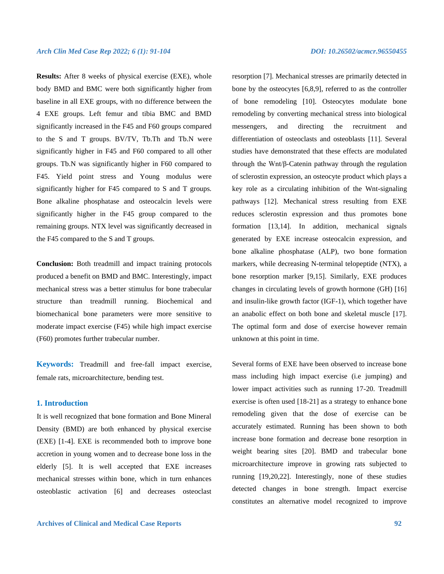**Results:** After 8 weeks of physical exercise (EXE), whole body BMD and BMC were both significantly higher from baseline in all EXE groups, with no difference between the 4 EXE groups. Left femur and tibia BMC and BMD significantly increased in the F45 and F60 groups compared to the S and T groups. BV/TV, Tb.Th and Tb.N were significantly higher in F45 and F60 compared to all other groups. Tb.N was significantly higher in F60 compared to F45. Yield point stress and Young modulus were significantly higher for F45 compared to S and T groups. Bone alkaline phosphatase and osteocalcin levels were significantly higher in the F45 group compared to the remaining groups. NTX level was significantly decreased in the F45 compared to the S and T groups.

**Conclusion:** Both treadmill and impact training protocols produced a benefit on BMD and BMC. Interestingly, impact mechanical stress was a better stimulus for bone trabecular structure than treadmill running. Biochemical and biomechanical bone parameters were more sensitive to moderate impact exercise (F45) while high impact exercise (F60) promotes further trabecular number.

**Keywords:** Treadmill and free-fall impact exercise, female rats, microarchitecture, bending test.

# **1. Introduction**

It is well recognized that bone formation and Bone Mineral Density (BMD) are both enhanced by physical exercise (EXE) [1-4]. EXE is recommended both to improve bone accretion in young women and to decrease bone loss in the elderly [5]. It is well accepted that EXE increases mechanical stresses within bone, which in turn enhances osteoblastic activation [6] and decreases osteoclast resorption [7]. Mechanical stresses are primarily detected in bone by the osteocytes [6,8,9], referred to as the controller of bone remodeling [10]. Osteocytes modulate bone remodeling by converting mechanical stress into biological messengers, and directing the recruitment and differentiation of osteoclasts and osteoblasts [11]. Several studies have demonstrated that these effects are modulated through the Wnt/β-Catenin pathway through the regulation of sclerostin expression, an osteocyte product which plays a key role as a circulating inhibition of the Wnt-signaling pathways [12]. Mechanical stress resulting from EXE reduces sclerostin expression and thus promotes bone formation [13,14]. In addition, mechanical signals generated by EXE increase osteocalcin expression, and bone alkaline phosphatase (ALP), two bone formation markers, while decreasing N-terminal telopeptide (NTX), a bone resorption marker [9,15]. Similarly, EXE produces changes in circulating levels of growth hormone (GH) [16] and insulin-like growth factor (IGF-1), which together have an anabolic effect on both bone and skeletal muscle [17]. The optimal form and dose of exercise however remain unknown at this point in time.

Several forms of EXE have been observed to increase bone mass including high impact exercise (i.e jumping) and lower impact activities such as running 17-20. Treadmill exercise is often used [18-21] as a strategy to enhance bone remodeling given that the dose of exercise can be accurately estimated. Running has been shown to both increase bone formation and decrease bone resorption in weight bearing sites [20]. BMD and trabecular bone microarchitecture improve in growing rats subjected to running [19,20,22]. Interestingly, none of these studies detected changes in bone strength. Impact exercise constitutes an alternative model recognized to improve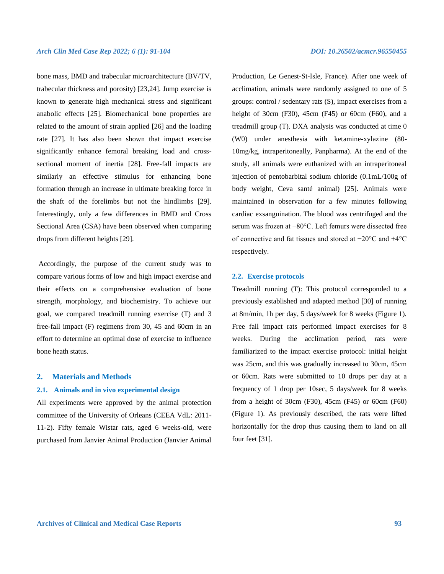bone mass, BMD and trabecular microarchitecture (BV/TV, trabecular thickness and porosity) [23,24]. Jump exercise is known to generate high mechanical stress and significant anabolic effects [25]. Biomechanical bone properties are related to the amount of strain applied [26] and the loading rate [27]. It has also been shown that impact exercise significantly enhance femoral breaking load and crosssectional moment of inertia [28]. Free-fall impacts are similarly an effective stimulus for enhancing bone formation through an increase in ultimate breaking force in the shaft of the forelimbs but not the hindlimbs [29]. Interestingly, only a few differences in BMD and Cross Sectional Area (CSA) have been observed when comparing drops from different heights [29].

Accordingly, the purpose of the current study was to compare various forms of low and high impact exercise and their effects on a comprehensive evaluation of bone strength, morphology, and biochemistry. To achieve our goal, we compared treadmill running exercise (T) and 3 free-fall impact (F) regimens from 30, 45 and 60cm in an effort to determine an optimal dose of exercise to influence bone heath status.

# **2. Materials and Methods**

# **2.1. Animals and in vivo experimental design**

All experiments were approved by the animal protection committee of the University of Orleans (CEEA VdL: 2011- 11-2). Fifty female Wistar rats, aged 6 weeks-old, were purchased from Janvier Animal Production (Janvier Animal

Production, Le Genest-St-Isle, France). After one week of acclimation, animals were randomly assigned to one of 5 groups: control / sedentary rats (S), impact exercises from a height of 30cm (F30), 45cm (F45) or 60cm (F60), and a treadmill group (T). DXA analysis was conducted at time 0 (W0) under anesthesia with ketamine-xylazine (80- 10mg/kg, intraperitoneally, Panpharma). At the end of the study, all animals were euthanized with an intraperitoneal injection of pentobarbital sodium chloride (0.1mL/100g of body weight, Ceva santé animal) [25]. Animals were maintained in observation for a few minutes following cardiac exsanguination. The blood was centrifuged and the serum was frozen at −80°C. Left femurs were dissected free of connective and fat tissues and stored at −20°C and +4°C respectively.

### **2.2. Exercise protocols**

Treadmill running (T): This protocol corresponded to a previously established and adapted method [30] of running at 8m/min, 1h per day, 5 days/week for 8 weeks (Figure 1). Free fall impact rats performed impact exercises for 8 weeks. During the acclimation period, rats were familiarized to the impact exercise protocol: initial height was 25cm, and this was gradually increased to 30cm, 45cm or 60cm. Rats were submitted to 10 drops per day at a frequency of 1 drop per 10sec, 5 days/week for 8 weeks from a height of 30cm (F30), 45cm (F45) or 60cm (F60) (Figure 1). As previously described, the rats were lifted horizontally for the drop thus causing them to land on all four feet [31].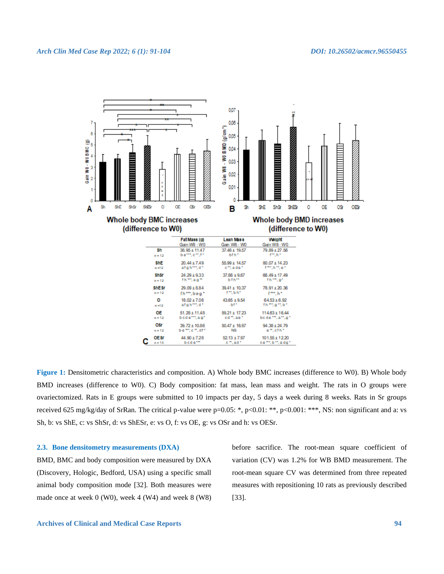

**Figure 1:** Densitometric characteristics and composition. A) Whole body BMC increases (difference to W0). B) Whole body BMD increases (difference to W0). C) Body composition: fat mass, lean mass and weight. The rats in O groups were ovariectomized. Rats in E groups were submitted to 10 impacts per day, 5 days a week during 8 weeks. Rats in Sr groups received 625 mg/kg/day of SrRan. The critical p-value were p=0.05: \*, p<0.01: \*\*, p<0.001: \*\*\*, NS: non significant and a: vs Sh, b: vs ShE, c: vs ShSr, d: vs ShESr, e: vs O, f: vs OE, g: vs OSr and h: vs OESr.

### **2.3. Bone densitometry measurements (DXA)**

BMD, BMC and body composition were measured by DXA (Discovery, Hologic, Bedford, USA) using a specific small animal body composition mode [32]. Both measures were made once at week 0 (W0), week 4 (W4) and week 8 (W8)

before sacrifice. The root-mean square coefficient of variation (CV) was 1.2% for WB BMD measurement. The root-mean square CV was determined from three repeated measures with repositioning 10 rats as previously described [33].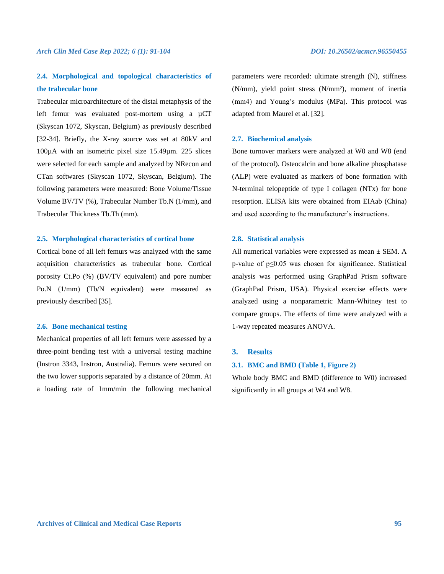# **2.4. Morphological and topological characteristics of the trabecular bone**

Trabecular microarchitecture of the distal metaphysis of the left femur was evaluated post-mortem using a  $\mu$ CT (Skyscan 1072, Skyscan, Belgium) as previously described [32-34]. Briefly, the X-ray source was set at 80kV and 100µA with an isometric pixel size 15.49µm. 225 slices were selected for each sample and analyzed by NRecon and CTan softwares (Skyscan 1072, Skyscan, Belgium). The following parameters were measured: Bone Volume/Tissue Volume BV/TV (%), Trabecular Number Tb.N (1/mm), and Trabecular Thickness Tb.Th (mm).

### **2.5. Morphological characteristics of cortical bone**

Cortical bone of all left femurs was analyzed with the same acquisition characteristics as trabecular bone. Cortical porosity Ct.Po (%) (BV/TV equivalent) and pore number Po.N (1/mm) (Tb/N equivalent) were measured as previously described [35].

# **2.6. Bone mechanical testing**

Mechanical properties of all left femurs were assessed by a three-point bending test with a universal testing machine (Instron 3343, Instron, Australia). Femurs were secured on the two lower supports separated by a distance of 20mm. At a loading rate of 1mm/min the following mechanical

parameters were recorded: ultimate strength (N), stiffness (N/mm), yield point stress (N/mm²), moment of inertia (mm4) and Young's modulus (MPa). This protocol was adapted from Maurel et al. [32].

# **2.7. Biochemical analysis**

Bone turnover markers were analyzed at W0 and W8 (end of the protocol). Osteocalcin and bone alkaline phosphatase (ALP) were evaluated as markers of bone formation with N-terminal telopeptide of type I collagen (NTx) for bone resorption. ELISA kits were obtained from EIAab (China) and used according to the manufacturer's instructions.

### **2.8. Statistical analysis**

All numerical variables were expressed as mean  $\pm$  SEM. A p-value of p≤0.05 was chosen for significance. Statistical analysis was performed using GraphPad Prism software (GraphPad Prism, USA). Physical exercise effects were analyzed using a nonparametric Mann-Whitney test to compare groups. The effects of time were analyzed with a 1-way repeated measures ANOVA.

### **3. Results**

# **3.1. BMC and BMD (Table 1, Figure 2)**

Whole body BMC and BMD (difference to W0) increased significantly in all groups at W4 and W8.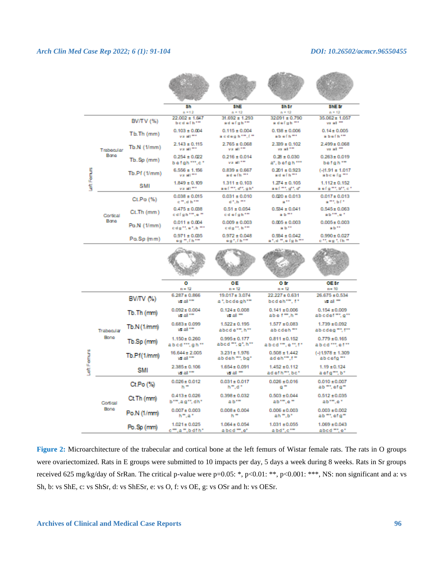# *Arch Clin Med Case Rep 2022; 6 (1): 91-104 DOI: 10.26502/acmcr.96550455*

|              |                    |                  | 3h<br>$n = 12$                               | <b>SNE</b><br>$n = 12$                                     | Sh Sr<br>$n = 12$                         | <b>ShES</b><br>$n = 12$                  |
|--------------|--------------------|------------------|----------------------------------------------|------------------------------------------------------------|-------------------------------------------|------------------------------------------|
|              |                    | <b>BV/TV (%)</b> | $22.002 \pm 1.647$<br>bed efh <sup>***</sup> | $31.692 \pm 1.293$<br>ad efgh <sup>em</sup>                | 32091 ± 0.790<br>adefuh <sup>me</sup>     | 35.062±1.057<br>value of the             |
|              | Trabecular<br>Bone | $Tb$ , $Th$ (mm) | $0.103 \pm 0.004$<br>value?                  | $0.115 \pm 0.004$<br>acdeph <sup>em</sup> .f <sup>**</sup> | $0.138 \pm 0.006$<br>abefh <sup>me</sup>  | $0.14 \pm 0.005$<br>abefh**              |
|              |                    | $Tb.N$ (1/mm)    | $2.143 \pm 0.115$<br><b>MAINTEN</b>          | $2.765 \pm 0.068$<br><b>MAIL ALL TIME</b>                  | $2.339 \pm 0.102$<br>value of the         | $2.499 \pm 0.068$<br>value of the        |
|              |                    | $Tb.Sp$ (mm)     | $0.254 \pm 0.022$<br>befah "".c"             | $0.216 \pm 0.014$<br>valiation.                            | $0.28 \pm 0.030$<br>a", befgh ***         | $0.263 \pm 0.019$<br>befah <sup>**</sup> |
|              |                    | Tb.Pf(1/mm)      | $6.556 \pm 1.156$<br><b>MAINT</b>            | $0.839 + 0.667$<br>ad effi <sup>me</sup>                   | $0.201 \pm 0.923$<br>ad efh <sup>me</sup> | $(.11.91 \pm 1.017$<br>abce fo ""        |
| Left Ferrurs |                    | SMI              | $1.849 \pm 0.109$<br>validit <sup>me</sup>   | $1.311 \pm 0.103$<br>aef **, d*, gh*                       | $1.274 \pm 0.105$<br>aef #tight di        | $1.112 \pm 0.152$<br>a ef gift, bit, cif |
|              | Cortical<br>Bone   | Ct.Po (%)        | $0.038 \pm 0.015$<br>cm.dh*m                 | $0.031 \pm 0.010$<br>ditch mit                             | $0.020 \pm 0.013$<br>a tr                 | $0.017 \pm 0.013$<br>amt birt            |
|              |                    | $Ct$ .Th $(mm)$  | $0.475 \pm 0.038$<br>edfight"",e "           | $0.51 \pm 0.054$<br>cdefuh <sup>**</sup>                   | $0.534 \pm 0.041$<br>a b <sup>arr</sup>   | $0.545 \pm 0.063$<br>ab**.e*             |
|              |                    | Po.N (1/mm)      | $0.011 \pm 0.004$<br>odgitter.htm            | $0.009 \pm 0.003$<br>cdg <sup>as</sup> , h <sup>am</sup>   | $0.005 \pm 0.003$<br>a b <sup>as</sup>    | $0.005 \pm 0.003$<br>ab <sup>er</sup>    |
|              |                    | Po.Sp (mm)       | $0.971 \pm 0.035$<br>ed milhom               | $0.972 \pm 0.048$<br>eg", fh ""                            | $0.984 \pm 0.042$<br>an, dim, e fight fin | $0.990 \pm 0.027$<br>off, ag f, fh ff    |
|              |                    |                  |                                              |                                                            |                                           |                                          |

|             |                    |                 | ٥<br>$n = 12$                      | 0E<br>$n = 12$                                             | O Sr<br>$n = 12$                                        | OE ST<br>$n = 10$                                          |
|-------------|--------------------|-----------------|------------------------------------|------------------------------------------------------------|---------------------------------------------------------|------------------------------------------------------------|
|             | Trabecular<br>Bone | $BV$ $TV$ $(X)$ | $6.287 \pm 0.866$<br>vs al ""      | $19.017 \pm 3.074$<br>albedegh""                           | 22.227 ± 0.631<br>bod eh <sup>***</sup> , f*            | 26.675 ± 0.534<br>vs al m                                  |
|             |                    | Tb.Th (mm)      | $0.092 \pm 0.004$<br>vs al ***     | $0.124 \pm 0.008$<br>wal <sup>-</sup>                      | $0.141 \pm 0.006$<br>abetm.hm                           | $0.154 \pm 0.009$<br>abodef "", g""                        |
|             |                    | Tb.N(1/mm)      | $0.683 \pm 0.099$<br>vs al **      | $1.522 \pm 0.195$<br>abode <sup>10</sup> , h <sup>11</sup> | $1.577 \pm 0.083$<br>ab edeh <sup>m</sup>               | $1.739 \pm 0.092$<br>abodeg <sup>m</sup> , f <sup>11</sup> |
| Left Femurs |                    | Tb.Sp (mm)      | $1.150 \pm 0.260$<br>abed "", gh " | $0.995 \pm 0.177$<br>abod "", g", h""                      | $0.811 \pm 0.152$<br>abed "", e ", f"                   | $0.779 \pm 0.165$<br>abod "", ef "                         |
|             |                    | Tb.Pf(1/mm)     | $16.644 \pm 2.005$<br>vs al **     | $3.231 \pm 1.976$<br>ab deh "", bg"                        | $0.508 \pm 1.442$<br>adeh <sup>10</sup> .f <sup>m</sup> | $( -11.978 \pm 1.309$<br>ab cefg <sup>me</sup>             |
|             |                    | <b>SMI</b>      | $2.385 \pm 0.106$<br>vs al **      | $1.654 \pm 0.091$<br>vs al m                               | $1.452 \pm 0.112$<br>ad of h <sup>me</sup> , bo*        | $1.19 \pm 0.124$<br>a ef g™, b*                            |
|             | Cortical<br>Bone   | Ct.Po(%)        | $0.026 \pm 0.012$<br>h "           | $0.031 \pm 0.017$<br>hm.dir                                | $0.026 \pm 0.016$<br>0 <sup>m</sup>                     | $0.010 \pm 0.007$<br>ab "", ef g"                          |
|             |                    | Ct Th (mm)      | $0.413 \pm 0.026$<br>b***,ag**,dh* | $0.398 \pm 0.032$<br>a b <sup>om</sup>                     | $0.503 \pm 0.044$<br>ab <sup>om</sup> le <sup>m</sup>   | $0.512 \pm 0.035$<br>ab <sup>om</sup> le*                  |
|             |                    | Po.N (1/mm)     | $0.007 \pm 0.003$<br>hm,air        | $0.008 \pm 0.004$<br>h "                                   | $0.006 \pm 0.003$<br>ah ".b"                            | $0.003 \pm 0.002$<br>ab "", ef g "                         |
|             |                    | Po.Sp (mm)      | $1.021 \pm 0.025$<br>em.am.bdfh"   | $1.064 \pm 0.054$<br>abod m.et                             | $1.031 \pm 0.055$<br>abd".c""                           | $1.069 \pm 0.043$<br>abod "", e"                           |

**Figure 2:** Microarchitecture of the trabecular and cortical bone at the left femurs of Wistar female rats. The rats in O groups were ovariectomized. Rats in E groups were submitted to 10 impacts per day, 5 days a week during 8 weeks. Rats in Sr groups received 625 mg/kg/day of SrRan. The critical p-value were p=0.05: \*, p<0.01: \*\*, p<0.001: \*\*\*, NS: non significant and a: vs Sh, b: vs ShE, c: vs ShSr, d: vs ShESr, e: vs O, f: vs OE, g: vs OSr and h: vs OESr.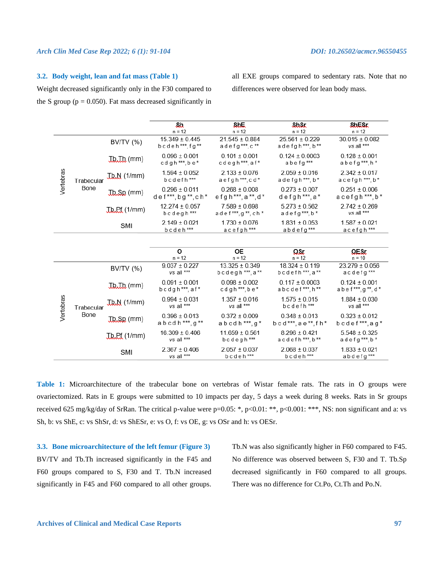# *Arch Clin Med Case Rep 2022; 6 (1): 91-104 DOI: 10.26502/acmcr.96550455*

### **3.2. Body weight, lean and fat mass (Table 1)**

Weight decreased significantly only in the F30 compared to the S group ( $p = 0.050$ ). Fat mass decreased significantly in

all EXE groups compared to sedentary rats. Note that no differences were observed for lean body mass.

|           |                    |                      | Sh<br>$n = 12$                       | <b>ShL</b><br>$n = 12$                            | ShSt<br>$n = 12$                      | <b>ShESt</b><br>$n = 12$                |
|-----------|--------------------|----------------------|--------------------------------------|---------------------------------------------------|---------------------------------------|-----------------------------------------|
| Vertebras | Trabecular<br>Bone | BV/TV (%)            | $15.349 \pm 0.445$<br>bcdeh***, fg** | $21.545 \pm 0.884$<br>adefg***,c**                | $25.561 \pm 0.229$<br>adefgh***,b**   | $30.015 \pm 0.082$<br>vs all ***        |
|           |                    | <b>Ibill</b> (mm)    | $0.096 \pm 0.001$<br>cdgh***,be*     | $0.101 \pm 0.001$<br>cdegh***,af*                 | $0.124 \pm 0.0003$<br>abefg***        | $0.128 \pm 0.001$<br>abefg***,h*        |
|           |                    | $Jb.M$ (1/mm)        | $1.594 \pm 0.052$<br>bcdefh***       | $2.133 \pm 0.076$<br>aefgh***,cd*                 | $2.059 \pm 0.016$<br>adefgh***,b*     | $2.342 \pm 0.017$<br>acefgh***,b*       |
|           |                    | $Jb$ $s$ $p$ (mm)    | $0.296 \pm 0.011$<br>def***,bg**,ch* | $0.268 \pm 0.008$<br>efgh***, a **, d *           | $0.273 \pm 0.007$<br>defgh***,a*      | $0.251 \pm 0.006$<br>$acefgh***$ , $b*$ |
|           |                    | The Pt (1/mm)        | $12.274 \pm 0.057$<br>$bcdegh$ ***   | $7.589 \pm 0.698$<br>adef***,g**,ch*              | $5.273 \pm 0.562$<br>adefg ***, $b *$ | $2.742 \pm 0.269$<br>vs all ***         |
|           |                    | SMI                  | $2.149 \pm 0.021$<br>bcdeh***        | $1.730 \pm 0.076$<br>acefgh***                    | $1.831 \pm 0.053$<br>abdefg***        | $1.587 \pm 0.021$<br>acefgh***          |
|           |                    |                      |                                      |                                                   |                                       |                                         |
|           |                    |                      | o<br>$n = 12$                        | <b>OE</b><br>$n = 12$                             | $\Omega$ SL<br>$n = 12$               | $Q$ E.S. $r$<br>$n = 10$                |
|           |                    | BV/TV (%)            | $9.037 \pm 0.227$<br>vs all ***      | $13.325 \pm 0.349$<br>bcdegh <sup>***</sup> , a** | $18.324 \pm 0.119$<br>bcdefh***,a**   | $23.279 \pm 0.056$<br>acdefg***         |
| Vertebras |                    | <b>Ibill</b> (mm)    | $0.091 \pm 0.001$<br>bcdgh***, af*   | $0.098 \pm 0.002$<br>$cdgh***,be*$                | $0.117 \pm 0.0003$<br>abcdef***,h**   | $0.124 \pm 0.001$<br>abef***, g **, d * |
|           | Trabecular         | $J\&M(1/mm)$         | $0.994 \pm 0.031$<br>vs all ***      | $1.357 \pm 0.016$<br>vs all ***                   | $1.575 \pm 0.015$<br>bcdefh***        | $1.884 \pm 0.030$<br>vs all ***         |
|           | Bone               | <b>Ib.Sp</b> (mm)    | $0.396 \pm 0.013$<br>abcdh***,g**    | $0.372 \pm 0.009$<br>abcdh***,g*                  | $0.348 \pm 0.013$<br>bcd***,ae**,fh*  | $0.323 \pm 0.012$<br>bcdef***, $ag*$    |
|           |                    | <b>Jb, Pf</b> (1/mm) | $16.309 \pm 0.406$<br>vs all ***     | $11.659 \pm 0.561$<br>bcdegh***                   | $8.296 \pm 0.421$<br>acdefh***,b**    | $5.548 \pm 0.325$<br>adefg***,b*        |
|           |                    | SMI                  | $2.367 \pm 0.406$<br>vs all ***      | $2.057 \pm 0.037$<br>bcdeh***                     | $2.068 \pm 0.037$<br>bcdeh***         | $1.833 \pm 0.021$<br>abdefg***          |

**Table 1:** Microarchitecture of the trabecular bone on vertebras of Wistar female rats. The rats in O groups were ovariectomized. Rats in E groups were submitted to 10 impacts per day, 5 days a week during 8 weeks. Rats in Sr groups received 625 mg/kg/day of SrRan. The critical p-value were  $p=0.05$ : \*,  $p<0.01$ : \*\*,  $p<0.001$ : \*\*\*, NS: non significant and a: vs Sh, b: vs ShE, c: vs ShSr, d: vs ShESr, e: vs O, f: vs OE, g: vs OSr and h: vs OESr.

**3.3. Bone microarchitecture of the left femur (Figure 3)** BV/TV and Tb.Th increased significantly in the F45 and F60 groups compared to S, F30 and T. Tb.N increased significantly in F45 and F60 compared to all other groups. Tb.N was also significantly higher in F60 compared to F45. No difference was observed between S, F30 and T. Tb.Sp decreased significantly in F60 compared to all groups. There was no difference for Ct.Po, Ct.Th and Po.N.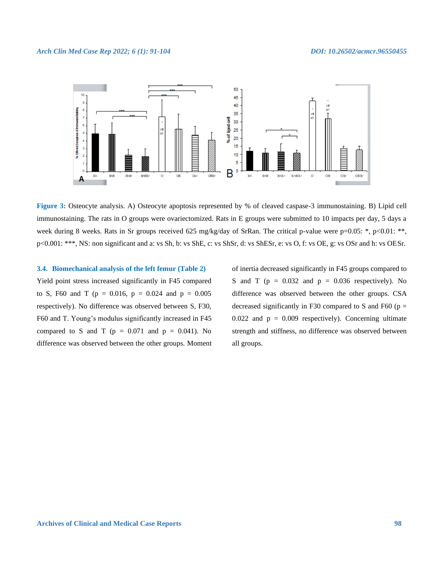

**Figure 3:** Osteocyte analysis. A) Osteocyte apoptosis represented by % of cleaved caspase-3 immunostaining. B) Lipid cell immunostaining. The rats in O groups were ovariectomized. Rats in E groups were submitted to 10 impacts per day, 5 days a week during 8 weeks. Rats in Sr groups received 625 mg/kg/day of SrRan. The critical p-value were p=0.05: \*, p<0.01: \*\*, p<0.001: \*\*\*, NS: non significant and a: vs Sh, b: vs ShE, c: vs ShSr, d: vs ShESr, e: vs O, f: vs OE, g: vs OSr and h: vs OESr.

# **3.4. Biomechanical analysis of the left femur (Table 2)**

Yield point stress increased significantly in F45 compared to S, F60 and T ( $p = 0.016$ ,  $p = 0.024$  and  $p = 0.005$ respectively). No difference was observed between S, F30, F60 and T. Young's modulus significantly increased in F45 compared to S and T ( $p = 0.071$  and  $p = 0.041$ ). No difference was observed between the other groups. Moment of inertia decreased significantly in F45 groups compared to S and T ( $p = 0.032$  and  $p = 0.036$  respectively). No difference was observed between the other groups. CSA decreased significantly in F30 compared to S and F60 ( $p =$ 0.022 and  $p = 0.009$  respectively). Concerning ultimate strength and stiffness, no difference was observed between all groups.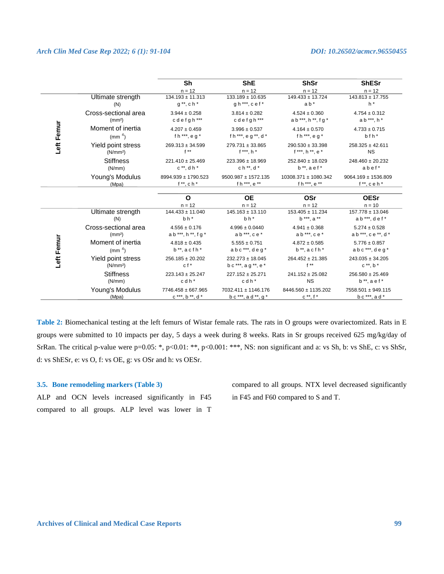# *Arch Clin Med Case Rep 2022; 6 (1): 91-104 DOI: 10.26502/acmcr.96550455*

|            |                          | Sh<br>$n = 12$                             | <b>ShE</b><br>$n = 12$                     | <b>ShSr</b><br>$n = 12$                         | <b>ShESr</b><br>$n = 12$                    |
|------------|--------------------------|--------------------------------------------|--------------------------------------------|-------------------------------------------------|---------------------------------------------|
|            | Ultimate strength        | $134.193 \pm 11.313$                       | $133.189 \pm 10.635$                       | $149.433 \pm 13.724$                            | $143.813 \pm 17.755$                        |
|            | (N)                      | $q^{**}$ , ch <sup>*</sup>                 | $gh$ <sup>***</sup> , cef <sup>*</sup>     | $ab *$                                          | $h^*$                                       |
|            | Cross-sectional area     | $3.944 \pm 0.258$                          | $3.814 \pm 0.282$                          | $4.524 \pm 0.360$                               | $4.754 \pm 0.312$                           |
|            | (mm <sup>2</sup> )       | cdefgh***                                  | cdefgh***                                  | $ab$ ***, $h$ **, $fg$ *                        | a b ***, h *                                |
| Left Femur | Moment of inertia        | $4.207 \pm 0.459$                          | $3.996 \pm 0.537$                          | $4.164 \pm 0.570$                               | $4.733 \pm 0.715$                           |
|            | (mm <sup>4</sup> )       | f h ***, e g $*$                           | f h ***, e g **, $d *$                     | fh***, $eg^*$                                   | bfh*                                        |
|            | Yield point stress       | $269.313 \pm 34.599$                       | $279.731 \pm 33.865$                       | $290.530 \pm 33.398$                            | $258.325 \pm 42.611$                        |
|            | (N/mm <sup>2</sup> )     | $f^{\star\star}$                           | $f***h*$                                   | f ***, h **, e *                                | <b>NS</b>                                   |
|            | <b>Stiffness</b>         | $221.410 \pm 25.469$                       | $223.396 \pm 18.969$                       | $252.840 \pm 18.029$                            | $248.460 \pm 20.232$                        |
|            | (N/mm)                   | $c**$ , dh *                               | $ch**$ , $d*$                              | $b^{\ast\ast}$ , a ef*                          | abef*                                       |
|            | Young's Modulus          | 8994.939 ± 1790.523                        | $9500.987 \pm 1572.135$                    | 10308.371 ± 1080.342                            | $9064.169 \pm 1536.809$                     |
|            | (Mpa)                    | $f^{\ast\ast}$ , ch <sup>*</sup>           | f h ***, e **                              | f h ***, e **                                   | $f^{**}$ , ceh $*$                          |
|            |                          | $\Omega$                                   | <b>OE</b>                                  | OSr                                             | <b>OESr</b>                                 |
|            | Ultimate strength<br>(N) | $n = 12$<br>$144.433 \pm 11.040$<br>$bh^*$ | $n = 12$<br>$145.163 \pm 13.110$<br>$bh^*$ | $n = 12$<br>$153.405 \pm 11.234$<br>b ***, a ** | $n = 10$<br>157.778 ± 13.046<br>ab***, def* |
|            | Cross-sectional area     | $4.556 \pm 0.176$                          | $4.996 \pm 0.0440$                         | $4.941 \pm 0.368$                               | $5.274 \pm 0.528$                           |
|            | (mm <sup>2</sup> )       | $ab$ ***, $h$ **, $fg$ *                   | $ab***,ce*$                                | $ab$ ***, $ce$ *                                | ab***, ce **, d *                           |
| Left Femur | Moment of inertia        | $4.818 \pm 0.435$                          | $5.555 \pm 0.751$                          | $4.872 \pm 0.585$                               | $5.776 \pm 0.857$                           |
|            | (mm <sup>4</sup> )       | $b^{\ast\ast}$ , acfh $\ast$               | $abc$ <sup>***</sup> , $deq'$              | $b^{\ast\ast}$ , acfh $\ast$                    | $abc$ <sup>***</sup> , $deq'$               |
|            | Yield point stress       | $256.185 \pm 20.202$                       | $232.273 \pm 18.045$                       | $264.452 \pm 21.385$                            | $243.035 \pm 34.205$                        |
|            | (N/mm <sup>2</sup> )     | $cf*$                                      | $bc***$ , $ag**$ , $e*$                    | $f^{\ast\ast}$                                  | $c^*$ , $b^*$                               |
|            | <b>Stiffness</b>         | $223.143 \pm 25.247$                       | $227.152 \pm 25.271$                       | $241.152 \pm 25.082$                            | $256.580 \pm 25.469$                        |
|            | (N/mm)                   | $c$ d $h$ $*$                              | $c$ d $h$ *                                | <b>NS</b>                                       | $b**$ , a e f $*$                           |
|            | Young's Modulus          | $7746.458 \pm 667.965$                     | 7032.411 ± 1146.176                        | 8446.560 ± 1135.202                             | 7558.501 ± 949.115                          |

**Table 2:** Biomechanical testing at the left femurs of Wistar female rats. The rats in O groups were ovariectomized. Rats in E groups were submitted to 10 impacts per day, 5 days a week during 8 weeks. Rats in Sr groups received 625 mg/kg/day of SrRan. The critical p-value were p=0.05: \*, p<0.01: \*\*, p<0.001: \*\*\*, NS: non significant and a: vs Sh, b: vs ShE, c: vs ShSr, d: vs ShESr, e: vs O, f: vs OE, g: vs OSr and h: vs OESr.

# **3.5. Bone remodeling markers (Table 3)**

ALP and OCN levels increased significantly in F45 compared to all groups. ALP level was lower in T

compared to all groups. NTX level decreased significantly in F45 and F60 compared to S and T.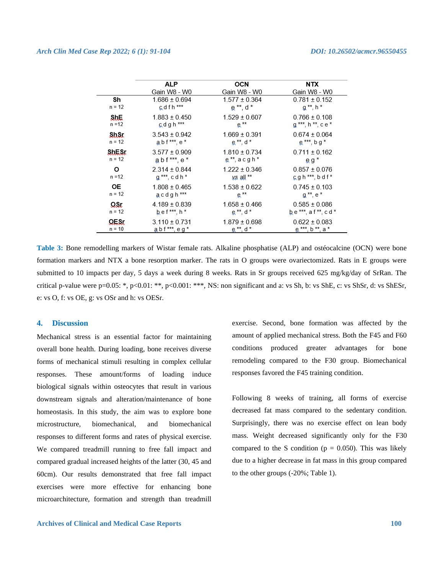|                | <b>ALP</b>                                           | <b>OCN</b>                                            | NTX                                                   |
|----------------|------------------------------------------------------|-------------------------------------------------------|-------------------------------------------------------|
| Sh<br>$n = 12$ | Gain W8 - W0<br>$1.686 \pm 0.694$<br>$c$ d f h $***$ | Gain W8 - W0<br>$1.577 \pm 0.364$<br>$e^{**}$ , d $*$ | Gain W8 - W0<br>$0.781 \pm 0.152$<br>$a^{**}$ , h $*$ |
| <b>ShL</b>     | $1.883 \pm 0.450$                                    | $1.529 \pm 0.607$                                     | $0.766 \pm 0.108$                                     |
| $n = 12$       | cdgh <sup>***</sup>                                  | $e^{**}$                                              | $g***$ , h $**$ , c e $*$                             |
| QuQt           | $3.543 \pm 0.942$                                    | $1.669 \pm 0.391$                                     | $0.674 \pm 0.064$                                     |
| $n = 12$       | $abf***$ , $e*$                                      | $e^{ix}$ , d $*$                                      | $e^{***}$ , b g $*$                                   |
| ShESt          | $3.577 \pm 0.909$                                    | $1.810 \pm 0.734$                                     | $0.711 \pm 0.162$                                     |
| $n = 12$       | abf***,e*                                            | $e^{tx}$ , acgh <sup>*</sup>                          | $eg^*$                                                |
| о              | $2.314 \pm 0.844$                                    | $1.222 \pm 0.346$                                     | $0.857 \pm 0.076$                                     |
| n =12          | $q^{***}$ , cdh $*$                                  | $\mathsf{vs}$ all $**$                                | $G$ gh ***, bdf*                                      |
| 0E             | $1.808 \pm 0.465$                                    | $1.538 \pm 0.622$                                     | $0.745 \pm 0.103$                                     |
| $n = 12$       | acdgh <sup>***</sup>                                 | $e^{**}$                                              | $a^{**}$ , $e^*$                                      |
| QSL            | $4.189 \pm 0.839$                                    | $1.658 \pm 0.466$                                     | $0.585 \pm 0.086$                                     |
| $n = 12$       | $hef***, h*$                                         | $e^{tx}$ , d $*$                                      | be ***, a f **, c d *                                 |
| OESr.          | $3.110 \pm 0.731$                                    | $1.879 \pm 0.698$                                     | $0.622 \pm 0.083$                                     |
| $n = 10$       | $abf***$ , eg*                                       | $e^{**}$ , d $*$                                      | e ***, b **, a *                                      |

**Table 3:** Bone remodelling markers of Wistar female rats. Alkaline phosphatise (ALP) and ostéocalcine (OCN) were bone formation markers and NTX a bone resorption marker. The rats in O groups were ovariectomized. Rats in E groups were submitted to 10 impacts per day, 5 days a week during 8 weeks. Rats in Sr groups received 625 mg/kg/day of SrRan. The critical p-value were p=0.05: \*, p<0.01: \*\*, p<0.001: \*\*\*, NS: non significant and a: vs Sh, b: vs ShE, c: vs ShSr, d: vs ShESr, e: vs O, f: vs OE, g: vs OSr and h: vs OESr.

# **4. Discussion**

Mechanical stress is an essential factor for maintaining overall bone health. During loading, bone receives diverse forms of mechanical stimuli resulting in complex cellular responses. These amount/forms of loading induce biological signals within osteocytes that result in various downstream signals and alteration/maintenance of bone homeostasis. In this study, the aim was to explore bone microstructure, biomechanical, and biomechanical responses to different forms and rates of physical exercise. We compared treadmill running to free fall impact and compared gradual increased heights of the latter (30, 45 and 60cm). Our results demonstrated that free fall impact exercises were more effective for enhancing bone microarchitecture, formation and strength than treadmill

exercise. Second, bone formation was affected by the amount of applied mechanical stress. Both the F45 and F60 conditions produced greater advantages for bone remodeling compared to the F30 group. Biomechanical responses favored the F45 training condition.

Following 8 weeks of training, all forms of exercise decreased fat mass compared to the sedentary condition. Surprisingly, there was no exercise effect on lean body mass. Weight decreased significantly only for the F30 compared to the S condition ( $p = 0.050$ ). This was likely due to a higher decrease in fat mass in this group compared to the other groups (-20%; Table 1).

### **Archives of Clinical and Medical Case Reports 100**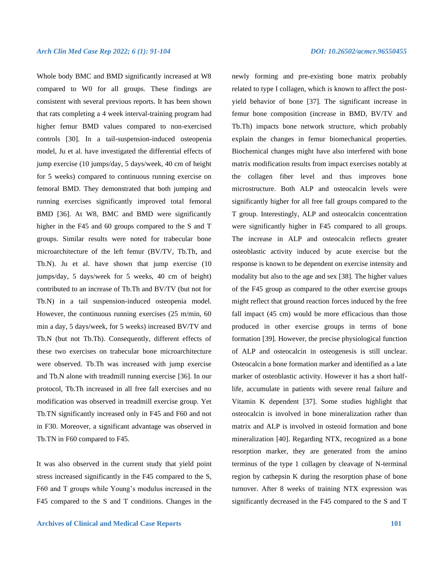Whole body BMC and BMD significantly increased at W8 compared to W0 for all groups. These findings are consistent with several previous reports. It has been shown that rats completing a 4 week interval-training program had higher femur BMD values compared to non-exercised controls [30]. In a tail-suspension-induced osteopenia model, Ju et al. have investigated the differential effects of jump exercise (10 jumps/day, 5 days/week, 40 cm of height for 5 weeks) compared to continuous running exercise on femoral BMD. They demonstrated that both jumping and running exercises significantly improved total femoral BMD [36]. At W8, BMC and BMD were significantly higher in the F45 and 60 groups compared to the S and T groups. Similar results were noted for trabecular bone microarchitecture of the left femur (BV/TV, Tb.Th, and Tb.N). Ju et al. have shown that jump exercise (10 jumps/day, 5 days/week for 5 weeks, 40 cm of height) contributed to an increase of Tb.Th and BV/TV (but not for Tb.N) in a tail suspension-induced osteopenia model. However, the continuous running exercises (25 m/min, 60 min a day, 5 days/week, for 5 weeks) increased BV/TV and Tb.N (but not Tb.Th). Consequently, different effects of these two exercises on trabecular bone microarchitecture were observed. Tb.Th was increased with jump exercise and Tb.N alone with treadmill running exercise [36]. In our protocol, Tb.Th increased in all free fall exercises and no modification was observed in treadmill exercise group. Yet Tb.TN significantly increased only in F45 and F60 and not in F30. Moreover, a significant advantage was observed in Tb.TN in F60 compared to F45.

It was also observed in the current study that yield point stress increased significantly in the F45 compared to the S, F60 and T groups while Young's modulus increased in the F45 compared to the S and T conditions. Changes in the

newly forming and pre-existing bone matrix probably related to type I collagen, which is known to affect the postyield behavior of bone [37]. The significant increase in femur bone composition (increase in BMD, BV/TV and Tb.Th) impacts bone network structure, which probably explain the changes in femur biomechanical properties. Biochemical changes might have also interfered with bone matrix modification results from impact exercises notably at the collagen fiber level and thus improves bone microstructure. Both ALP and osteocalcin levels were significantly higher for all free fall groups compared to the T group. Interestingly, ALP and osteocalcin concentration were significantly higher in F45 compared to all groups. The increase in ALP and osteocalcin reflects greater osteoblastic activity induced by acute exercise but the response is known to be dependent on exercise intensity and modality but also to the age and sex [38]. The higher values of the F45 group as compared to the other exercise groups might reflect that ground reaction forces induced by the free fall impact (45 cm) would be more efficacious than those produced in other exercise groups in terms of bone formation [39]. However, the precise physiological function of ALP and osteocalcin in osteogenesis is still unclear. Osteocalcin a bone formation marker and identified as a late marker of osteoblastic activity. However it has a short halflife, accumulate in patients with severe renal failure and Vitamin K dependent [37]. Some studies highlight that osteocalcin is involved in bone mineralization rather than matrix and ALP is involved in osteoid formation and bone mineralization [40]. Regarding NTX, recognized as a bone resorption marker, they are generated from the amino terminus of the type 1 collagen by cleavage of N-terminal region by cathepsin K during the resorption phase of bone turnover. After 8 weeks of training NTX expression was significantly decreased in the F45 compared to the S and T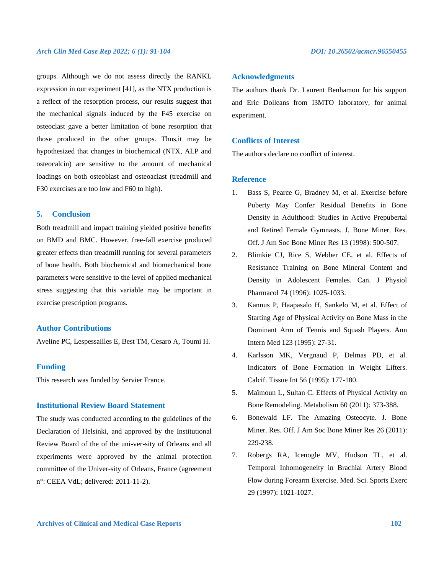groups. Although we do not assess directly the RANKL expression in our experiment [41], as the NTX production is a reflect of the resorption process, our results suggest that the mechanical signals induced by the F45 exercise on osteoclast gave a better limitation of bone resorption that those produced in the other groups. Thus,it may be hypothesized that changes in biochemical (NTX, ALP and osteocalcin) are sensitive to the amount of mechanical loadings on both osteoblast and osteoaclast (treadmill and F30 exercises are too low and F60 to high).

# **5. Conclusion**

Both treadmill and impact training yielded positive benefits on BMD and BMC. However, free-fall exercise produced greater effects than treadmill running for several parameters of bone health. Both biochemical and biomechanical bone parameters were sensitive to the level of applied mechanical stress suggesting that this variable may be important in exercise prescription programs.

# **Author Contributions**

Aveline PC, Lespessailles E, Best TM, Cesaro A, Toumi H.

# **Funding**

This research was funded by Servier France.

# **Institutional Review Board Statement**

The study was conducted according to the guidelines of the Declaration of Helsinki, and approved by the Institutional Review Board of the of the uni-ver-sity of Orleans and all experiments were approved by the animal protection committee of the Univer-sity of Orleans, France (agreement n°: CEEA VdL; delivered: 2011-11-2).

### **Acknowledgments**

The authors thank Dr. Laurent Benhamou for his support and Eric Dolleans from I3MTO laboratory, for animal experiment.

# **Conflicts of Interest**

The authors declare no conflict of interest.

# **Reference**

- 1. Bass S, Pearce G, Bradney M, et al. Exercise before Puberty May Confer Residual Benefits in Bone Density in Adulthood: Studies in Active Prepubertal and Retired Female Gymnasts. J. Bone Miner. Res. Off. J Am Soc Bone Miner Res 13 (1998): 500-507.
- 2. Blimkie CJ, Rice S, Webber CE, et al. Effects of Resistance Training on Bone Mineral Content and Density in Adolescent Females. Can. J Physiol Pharmacol 74 (1996): 1025-1033.
- 3. Kannus P, Haapasalo H, Sankelo M, et al. Effect of Starting Age of Physical Activity on Bone Mass in the Dominant Arm of Tennis and Squash Players. Ann Intern Med 123 (1995): 27-31.
- 4. Karlsson MK, Vergnaud P, Delmas PD, et al. Indicators of Bone Formation in Weight Lifters. Calcif. Tissue Int 56 (1995): 177-180.
- 5. Maïmoun L, Sultan C. Effects of Physical Activity on Bone Remodeling. Metabolism 60 (2011): 373-388.
- 6. Bonewald LF. The Amazing Osteocyte. J. Bone Miner. Res. Off. J Am Soc Bone Miner Res 26 (2011): 229-238.
- 7. Robergs RA, Icenogle MV, Hudson TL, et al. Temporal Inhomogeneity in Brachial Artery Blood Flow during Forearm Exercise. Med. Sci. Sports Exerc 29 (1997): 1021-1027.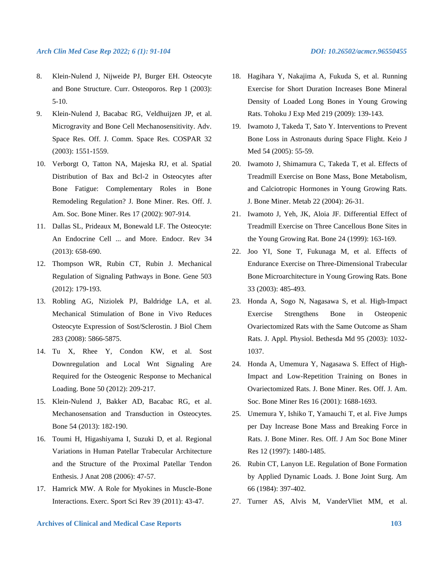- 8. Klein-Nulend J, Nijweide PJ, Burger EH. Osteocyte and Bone Structure. Curr. Osteoporos. Rep 1 (2003): 5-10.
- 9. Klein-Nulend J, Bacabac RG, Veldhuijzen JP, et al. Microgravity and Bone Cell Mechanosensitivity. Adv. Space Res. Off. J. Comm. Space Res. COSPAR 32 (2003): 1551-1559.
- 10. Verborgt O, Tatton NA, Majeska RJ, et al. Spatial Distribution of Bax and Bcl-2 in Osteocytes after Bone Fatigue: Complementary Roles in Bone Remodeling Regulation? J. Bone Miner. Res. Off. J. Am. Soc. Bone Miner. Res 17 (2002): 907-914.
- 11. Dallas SL, Prideaux M, Bonewald LF. The Osteocyte: An Endocrine Cell ... and More. Endocr. Rev 34 (2013): 658-690.
- 12. Thompson WR, Rubin CT, Rubin J. Mechanical Regulation of Signaling Pathways in Bone. Gene 503 (2012): 179-193.
- 13. Robling AG, Niziolek PJ, Baldridge LA, et al. Mechanical Stimulation of Bone in Vivo Reduces Osteocyte Expression of Sost/Sclerostin. J Biol Chem 283 (2008): 5866-5875.
- 14. Tu X, Rhee Y, Condon KW, et al. Sost Downregulation and Local Wnt Signaling Are Required for the Osteogenic Response to Mechanical Loading. Bone 50 (2012): 209-217.
- 15. Klein-Nulend J, Bakker AD, Bacabac RG, et al. Mechanosensation and Transduction in Osteocytes. Bone 54 (2013): 182-190.
- 16. Toumi H, Higashiyama I, Suzuki D, et al. Regional Variations in Human Patellar Trabecular Architecture and the Structure of the Proximal Patellar Tendon Enthesis. J Anat 208 (2006): 47-57.
- 17. Hamrick MW. A Role for Myokines in Muscle-Bone Interactions. Exerc. Sport Sci Rev 39 (2011): 43-47.
- 
- 18. Hagihara Y, Nakajima A, Fukuda S, et al. Running Exercise for Short Duration Increases Bone Mineral Density of Loaded Long Bones in Young Growing Rats. Tohoku J Exp Med 219 (2009): 139-143.
- 19. Iwamoto J, Takeda T, Sato Y. Interventions to Prevent Bone Loss in Astronauts during Space Flight. Keio J Med 54 (2005): 55-59.
- 20. Iwamoto J, Shimamura C, Takeda T, et al. Effects of Treadmill Exercise on Bone Mass, Bone Metabolism, and Calciotropic Hormones in Young Growing Rats. J. Bone Miner. Metab 22 (2004): 26-31.
- 21. Iwamoto J, Yeh, JK, Aloia JF. Differential Effect of Treadmill Exercise on Three Cancellous Bone Sites in the Young Growing Rat. Bone 24 (1999): 163-169.
- 22. Joo YI, Sone T, Fukunaga M, et al. Effects of Endurance Exercise on Three-Dimensional Trabecular Bone Microarchitecture in Young Growing Rats. Bone 33 (2003): 485-493.
- 23. Honda A, Sogo N, Nagasawa S, et al. High-Impact Exercise Strengthens Bone in Osteopenic Ovariectomized Rats with the Same Outcome as Sham Rats. J. Appl. Physiol. Bethesda Md 95 (2003): 1032- 1037.
- 24. Honda A, Umemura Y, Nagasawa S. Effect of High-Impact and Low-Repetition Training on Bones in Ovariectomized Rats. J. Bone Miner. Res. Off. J. Am. Soc. Bone Miner Res 16 (2001): 1688-1693.
- 25. Umemura Y, Ishiko T, Yamauchi T, et al. Five Jumps per Day Increase Bone Mass and Breaking Force in Rats. J. Bone Miner. Res. Off. J Am Soc Bone Miner Res 12 (1997): 1480-1485.
- 26. Rubin CT, Lanyon LE. Regulation of Bone Formation by Applied Dynamic Loads. J. Bone Joint Surg. Am 66 (1984): 397-402.
- 27. Turner AS, Alvis M, VanderVliet MM, et al.